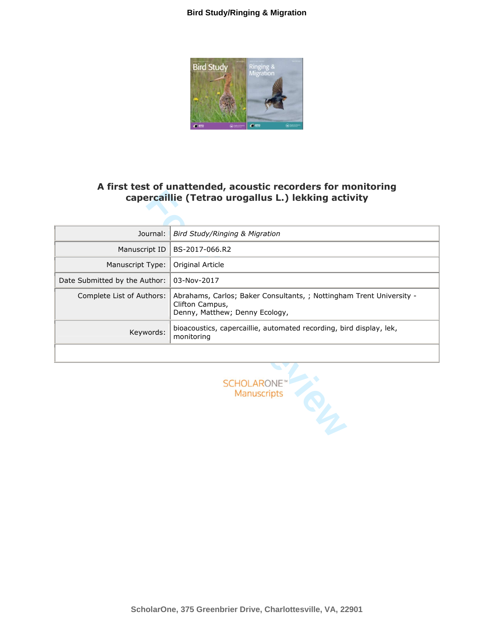

# A first test of unattended, acoustic recorders for monitoring **capercaillie (Tetrao urogallus L.) lekking activity**

| A first test of unattended, acoustic recorders for monitoring<br>capercaillie (Tetrao urogallus L.) lekking activity |                                                                                                                           |  |
|----------------------------------------------------------------------------------------------------------------------|---------------------------------------------------------------------------------------------------------------------------|--|
|                                                                                                                      |                                                                                                                           |  |
| Journal:                                                                                                             | Bird Study/Ringing & Migration                                                                                            |  |
| Manuscript ID                                                                                                        | BS-2017-066.R2                                                                                                            |  |
| Manuscript Type:                                                                                                     | Original Article                                                                                                          |  |
| Date Submitted by the Author:                                                                                        | 03-Nov-2017                                                                                                               |  |
| Complete List of Authors:                                                                                            | Abrahams, Carlos; Baker Consultants, ; Nottingham Trent University -<br>Clifton Campus,<br>Denny, Matthew; Denny Ecology, |  |
| Keywords:                                                                                                            | bioacoustics, capercaillie, automated recording, bird display, lek,<br>monitoring                                         |  |
|                                                                                                                      |                                                                                                                           |  |
|                                                                                                                      | <b>SCHOLARONE</b><br>Manuscripts                                                                                          |  |

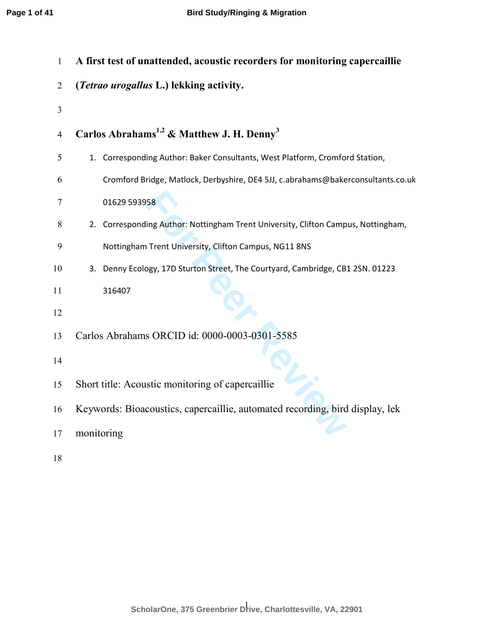| $\mathbf{1}$   | A first test of unattended, acoustic recorders for monitoring capercaillie        |
|----------------|-----------------------------------------------------------------------------------|
| $\overline{2}$ | (Tetrao urogallus L.) lekking activity.                                           |
| 3              |                                                                                   |
| $\overline{4}$ | Carlos Abrahams <sup>1,2</sup> & Matthew J. H. Denny <sup>3</sup>                 |
| 5              | 1. Corresponding Author: Baker Consultants, West Platform, Cromford Station,      |
| 6              | Cromford Bridge, Matlock, Derbyshire, DE4 5JJ, c.abrahams@bakerconsultants.co.uk  |
| 7              | 01629 593958                                                                      |
| 8              | 2. Corresponding Author: Nottingham Trent University, Clifton Campus, Nottingham, |
| 9              | Nottingham Trent University, Clifton Campus, NG11 8NS                             |
| 10             | Denny Ecology, 17D Sturton Street, The Courtyard, Cambridge, CB1 2SN. 01223<br>3. |
| 11             | 316407                                                                            |
| 12             |                                                                                   |
| 13             | Carlos Abrahams ORCID id: 0000-0003-0301-5585                                     |
| 14             |                                                                                   |
| 15             | Short title: Acoustic monitoring of capercaillie                                  |
| 16             | Keywords: Bioacoustics, capercaillie, automated recording, bird display, lek      |
| 17             | monitoring                                                                        |
|                |                                                                                   |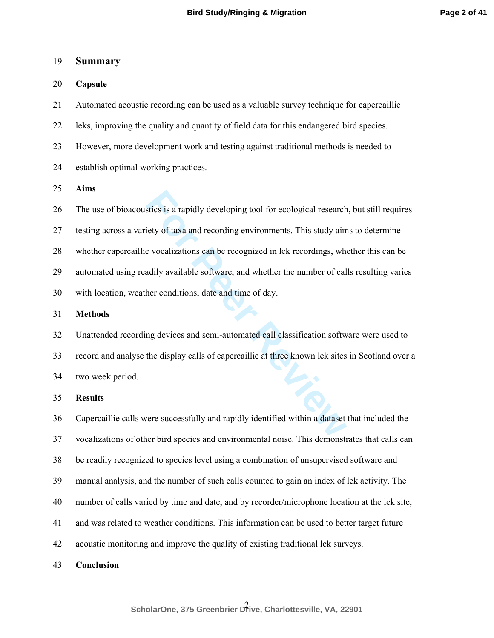#### 19 **Summary**

20 **Capsule** 

21 Automated acoustic recording can be used as a valuable survey technique for capercaillie

- 22 leks, improving the quality and quantity of field data for this endangered bird species.
- 23 However, more development work and testing against traditional methods is needed to
- 24 establish optimal working practices.

25 **Aims** 

26 The use of bioacoustics is a rapidly developing tool for ecological research, but still requires

27 testing across a variety of taxa and recording environments. This study aims to determine

28 whether capercaillie vocalizations can be recognized in lek recordings, whether this can be

29 automated using readily available software, and whether the number of calls resulting varies

30 with location, weather conditions, date and time of day.

31 **Methods** 

stics is a rapidly developing tool for ecological research<br> **For Example 18 and a** recording environments. This study aim<br> **For Peer Sections 2** and **For Peer Reviewal** and the environments of cal-<br> **For Peer Conditions**, 32 Unattended recording devices and semi-automated call classification software were used to 33 record and analyse the display calls of capercaillie at three known lek sites in Scotland over a 34 two week period.

35 **Results** 

36 Capercaillie calls were successfully and rapidly identified within a dataset that included the 37 vocalizations of other bird species and environmental noise. This demonstrates that calls can 38 be readily recognized to species level using a combination of unsupervised software and 39 manual analysis, and the number of such calls counted to gain an index of lek activity. The 40 number of calls varied by time and date, and by recorder/microphone location at the lek site, 41 and was related to weather conditions. This information can be used to better target future 42 acoustic monitoring and improve the quality of existing traditional lek surveys.

43 **Conclusion**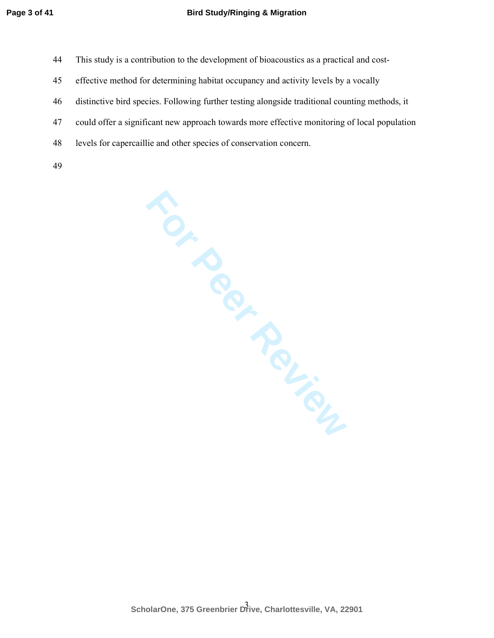- 44 This study is a contribution to the development of bioacoustics as a practical and cost-
- 45 effective method for determining habitat occupancy and activity levels by a vocally
- 46 distinctive bird species. Following further testing alongside traditional counting methods, it
- 47 could offer a significant new approach towards more effective monitoring of local population
- 48 levels for capercaillie and other species of conservation concern.
- 49

Mich Review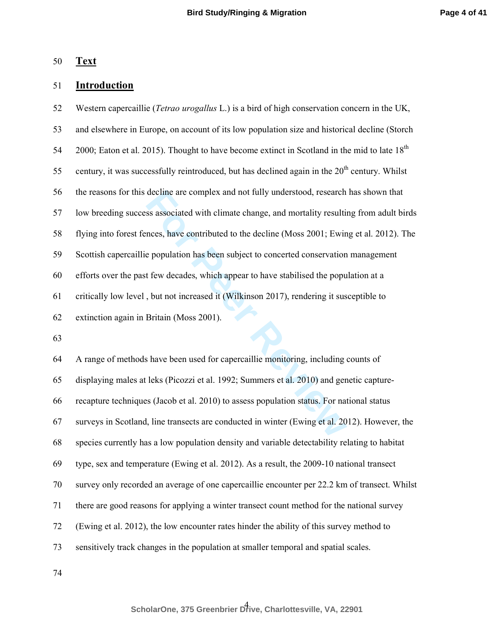### 50 **Text**

## 51 **Introduction**

decline are complex and not fully understood, research<br>ss associated with climate change, and mortality resultin<br>nces, have contributed to the decline (Moss 2001; Ewin<br>e population has been subject to concerted conservatio 52 Western capercaillie (*Tetrao urogallus* L.) is a bird of high conservation concern in the UK, 53 and elsewhere in Europe, on account of its low population size and historical decline (Storch 2000; Eaton et al. 2015). Thought to have become extinct in Scotland in the mid to late  $18<sup>th</sup>$ 55 century, it was successfully reintroduced, but has declined again in the  $20<sup>th</sup>$  century. Whilst 56 the reasons for this decline are complex and not fully understood, research has shown that 57 low breeding success associated with climate change, and mortality resulting from adult birds 58 flying into forest fences, have contributed to the decline (Moss 2001; Ewing et al. 2012). The 59 Scottish capercaillie population has been subject to concerted conservation management 60 efforts over the past few decades, which appear to have stabilised the population at a 61 critically low level , but not increased it (Wilkinson 2017), rendering it susceptible to 62 extinction again in Britain (Moss 2001).

63

64 A range of methods have been used for capercaillie monitoring, including counts of 65 displaying males at leks (Picozzi et al. 1992; Summers et al. 2010) and genetic capture-66 recapture techniques (Jacob et al. 2010) to assess population status. For national status 67 surveys in Scotland, line transects are conducted in winter (Ewing et al. 2012). However, the 68 species currently has a low population density and variable detectability relating to habitat 69 type, sex and temperature (Ewing et al. 2012). As a result, the 2009-10 national transect 70 survey only recorded an average of one capercaillie encounter per 22.2 km of transect. Whilst 71 there are good reasons for applying a winter transect count method for the national survey 72 (Ewing et al. 2012), the low encounter rates hinder the ability of this survey method to 73 sensitively track changes in the population at smaller temporal and spatial scales.

74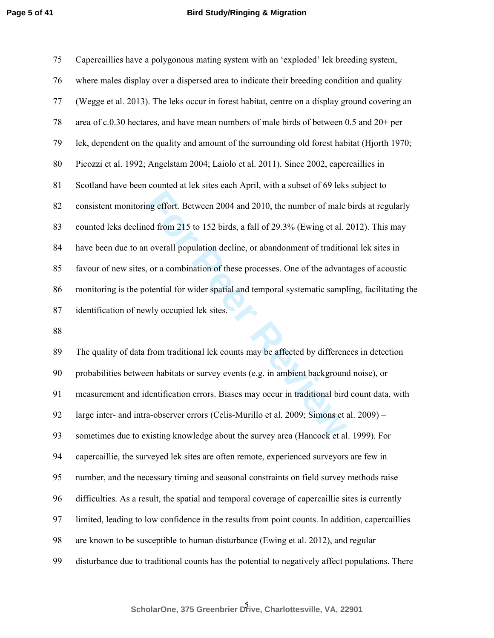| 75 | Capercaillies have a polygonous mating system with an 'exploded' lek breeding system,            |
|----|--------------------------------------------------------------------------------------------------|
| 76 | where males display over a dispersed area to indicate their breeding condition and quality       |
| 77 | (Wegge et al. 2013). The leks occur in forest habitat, centre on a display ground covering an    |
| 78 | area of c.0.30 hectares, and have mean numbers of male birds of between 0.5 and 20+ per          |
| 79 | lek, dependent on the quality and amount of the surrounding old forest habitat (Hjorth 1970;     |
| 80 | Picozzi et al. 1992; Angelstam 2004; Laiolo et al. 2011). Since 2002, capercaillies in           |
| 81 | Scotland have been counted at lek sites each April, with a subset of 69 leks subject to          |
| 82 | consistent monitoring effort. Between 2004 and 2010, the number of male birds at regularly       |
| 83 | counted leks declined from 215 to 152 birds, a fall of 29.3% (Ewing et al. 2012). This may       |
| 84 | have been due to an overall population decline, or abandonment of traditional lek sites in       |
| 85 | favour of new sites, or a combination of these processes. One of the advantages of acoustic      |
| 86 | monitoring is the potential for wider spatial and temporal systematic sampling, facilitating the |
| 87 | identification of newly occupied lek sites.                                                      |
| 88 |                                                                                                  |
| 89 | The quality of data from traditional lek counts may be affected by differences in detection      |
| 90 | probabilities between habitats or survey events (e.g. in ambient background noise), or           |
| 91 | measurement and identification errors. Biases may occur in traditional bird count data, with     |
| 92 | large inter- and intra-observer errors (Celis-Murillo et al. 2009; Simons et al. 2009) -         |
| 93 | sometimes due to existing knowledge about the survey area (Hancock et al. 1999). For             |

89 The quality of data from traditional lek counts may be affected by differences in detection 90 probabilities between habitats or survey events (e.g. in ambient background noise), or 91 measurement and identification errors. Biases may occur in traditional bird count data, with 92 large inter- and intra-observer errors (Celis-Murillo et al. 2009; Simons et al. 2009) – 93 sometimes due to existing knowledge about the survey area (Hancock et al. 1999). For 94 capercaillie, the surveyed lek sites are often remote, experienced surveyors are few in 95 number, and the necessary timing and seasonal constraints on field survey methods raise 96 difficulties. As a result, the spatial and temporal coverage of capercaillie sites is currently 97 limited, leading to low confidence in the results from point counts. In addition, capercaillies 98 are known to be susceptible to human disturbance (Ewing et al. 2012), and regular 99 disturbance due to traditional counts has the potential to negatively affect populations. There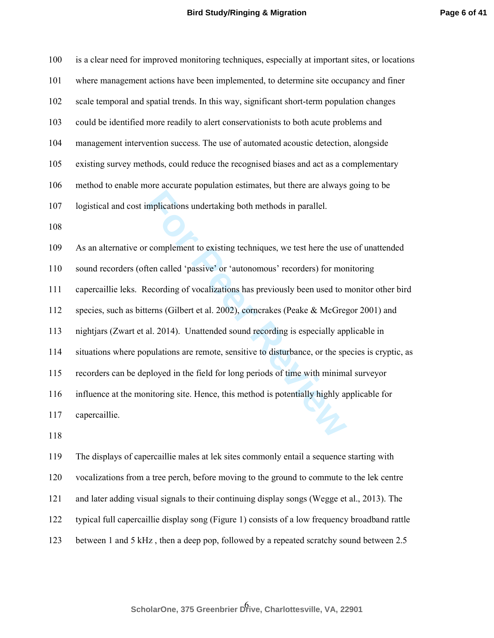| 100 | is a clear need for improved monitoring techniques, especially at important sites, or locations  |
|-----|--------------------------------------------------------------------------------------------------|
| 101 | where management actions have been implemented, to determine site occupancy and finer            |
| 102 | scale temporal and spatial trends. In this way, significant short-term population changes        |
| 103 | could be identified more readily to alert conservationists to both acute problems and            |
| 104 | management intervention success. The use of automated acoustic detection, alongside              |
| 105 | existing survey methods, could reduce the recognised biases and act as a complementary           |
| 106 | method to enable more accurate population estimates, but there are always going to be            |
| 107 | logistical and cost implications undertaking both methods in parallel.                           |
| 108 |                                                                                                  |
| 109 | As an alternative or complement to existing techniques, we test here the use of unattended       |
| 110 | sound recorders (often called 'passive' or 'autonomous' recorders) for monitoring                |
| 111 | capercaillie leks. Recording of vocalizations has previously been used to monitor other bird     |
| 112 | species, such as bitterns (Gilbert et al. 2002), corncrakes (Peake & McGregor 2001) and          |
| 113 | nightjars (Zwart et al. 2014). Unattended sound recording is especially applicable in            |
| 114 | situations where populations are remote, sensitive to disturbance, or the species is cryptic, as |
| 115 | recorders can be deployed in the field for long periods of time with minimal surveyor            |
| 116 | influence at the monitoring site. Hence, this method is potentially highly applicable for        |
| 117 | capercaillie.                                                                                    |
| 118 |                                                                                                  |
| 119 | The displays of capercaillie males at lek sites commonly entail a sequence starting with         |
| 120 | vocalizations from a tree perch, before moving to the ground to commute to the lek centre        |
| 121 | and later adding visual signals to their continuing display songs (Wegge et al., 2013). The      |
| 122 | typical full capercaillie display song (Figure 1) consists of a low frequency broadband rattle   |

123 between 1 and 5 kHz , then a deep pop, followed by a repeated scratchy sound between 2.5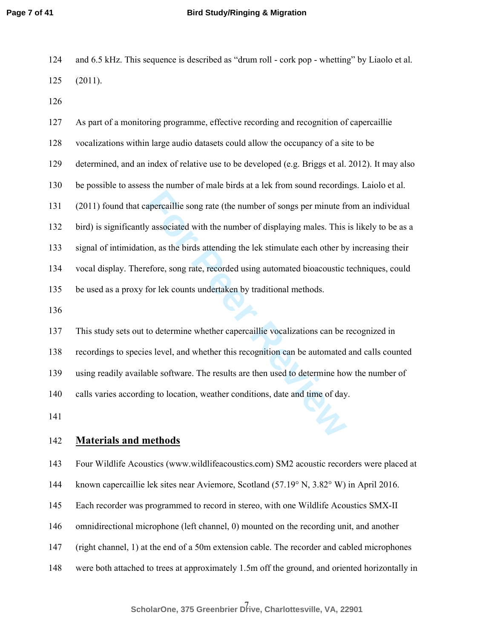- 124 and 6.5 kHz. This sequence is described as "drum roll cork pop whetting" by Liaolo et al. 125 (2011).
- 126

apercaillie song rate (the number of songs per minute from y associated with the number of displaying males. This on, as the birds attending the lek stimulate each other by efore, song rate, recorded using automated bioaco 127 As part of a monitoring programme, effective recording and recognition of capercaillie 128 vocalizations within large audio datasets could allow the occupancy of a site to be 129 determined, and an index of relative use to be developed (e.g. Briggs et al. 2012). It may also 130 be possible to assess the number of male birds at a lek from sound recordings. Laiolo et al. 131 (2011) found that capercaillie song rate (the number of songs per minute from an individual 132 bird) is significantly associated with the number of displaying males. This is likely to be as a 133 signal of intimidation, as the birds attending the lek stimulate each other by increasing their 134 vocal display. Therefore, song rate, recorded using automated bioacoustic techniques, could 135 be used as a proxy for lek counts undertaken by traditional methods. 136 137 This study sets out to determine whether capercaillie vocalizations can be recognized in 138 recordings to species level, and whether this recognition can be automated and calls counted 139 using readily available software. The results are then used to determine how the number of 140 calls varies according to location, weather conditions, date and time of day.

141

## 142 **Materials and methods**

143 Four Wildlife Acoustics (www.wildlifeacoustics.com) SM2 acoustic recorders were placed at

- 144 known capercaillie lek sites near Aviemore, Scotland (57.19° N, 3.82° W) in April 2016.
- 145 Each recorder was programmed to record in stereo, with one Wildlife Acoustics SMX-II
- 146 omnidirectional microphone (left channel, 0) mounted on the recording unit, and another
- 147 (right channel, 1) at the end of a 50m extension cable. The recorder and cabled microphones
- 148 were both attached to trees at approximately 1.5m off the ground, and oriented horizontally in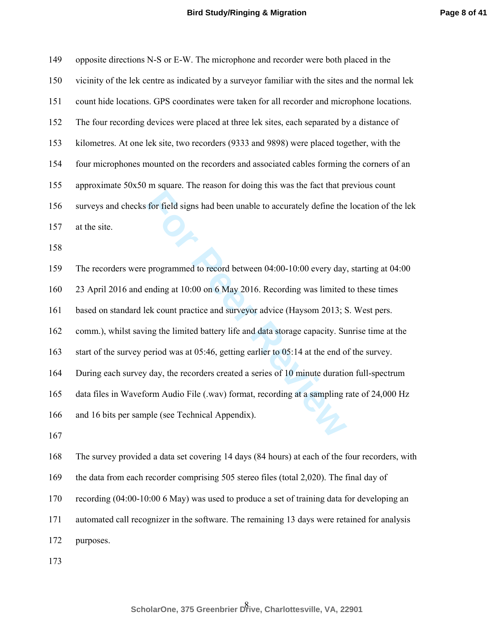**Page 8 of 41**

| 149 | opposite directions N-S or E-W. The microphone and recorder were both placed in the              |
|-----|--------------------------------------------------------------------------------------------------|
| 150 | vicinity of the lek centre as indicated by a surveyor familiar with the sites and the normal lek |
| 151 | count hide locations. GPS coordinates were taken for all recorder and microphone locations.      |
| 152 | The four recording devices were placed at three lek sites, each separated by a distance of       |
| 153 | kilometres. At one lek site, two recorders (9333 and 9898) were placed together, with the        |
| 154 | four microphones mounted on the recorders and associated cables forming the corners of an        |
| 155 | approximate 50x50 m square. The reason for doing this was the fact that previous count           |
| 156 | surveys and checks for field signs had been unable to accurately define the location of the lek  |
| 157 | at the site.                                                                                     |
| 158 |                                                                                                  |
| 159 | The recorders were programmed to record between 04:00-10:00 every day, starting at 04:00         |
| 160 | 23 April 2016 and ending at 10:00 on 6 May 2016. Recording was limited to these times            |
| 161 | based on standard lek count practice and surveyor advice (Haysom 2013; S. West pers.             |
| 162 | comm.), whilst saving the limited battery life and data storage capacity. Sunrise time at the    |
| 163 | start of the survey period was at 05:46, getting earlier to 05:14 at the end of the survey.      |
| 164 | During each survey day, the recorders created a series of 10 minute duration full-spectrum       |
| 165 | data files in Waveform Audio File (.wav) format, recording at a sampling rate of 24,000 Hz       |
| 166 | and 16 bits per sample (see Technical Appendix).                                                 |
| 167 |                                                                                                  |
| 168 | The survey provided a data set covering 14 days (84 hours) at each of the four recorders, with   |
| 169 | the data from each recorder comprising 505 stereo files (total 2,020). The final day of          |
| 170 | recording (04:00-10:00 6 May) was used to produce a set of training data for developing an       |
| 171 | automated call recognizer in the software. The remaining 13 days were retained for analysis      |
| 172 | purposes.                                                                                        |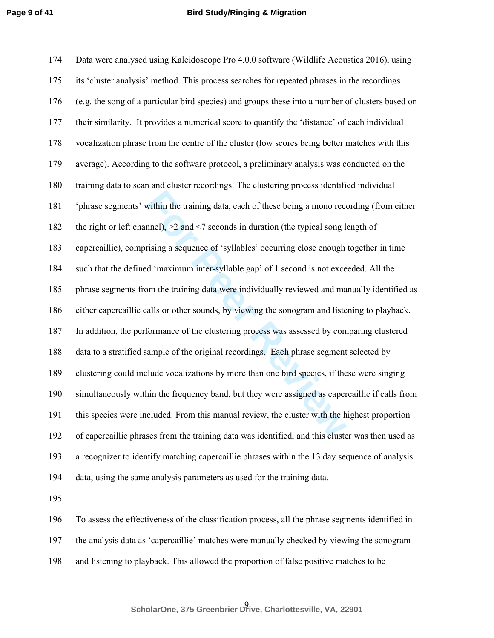within the training data, each of these being a mono reconnel), >2 and <7 seconds in duration (the typical song lengting a sequence of 'syllables' occurring close enough d 'maximum inter-syllable gap' of 1 second is not ex 174 Data were analysed using Kaleidoscope Pro 4.0.0 software (Wildlife Acoustics 2016), using 175 its 'cluster analysis' method. This process searches for repeated phrases in the recordings 176 (e.g. the song of a particular bird species) and groups these into a number of clusters based on 177 their similarity. It provides a numerical score to quantify the 'distance' of each individual 178 vocalization phrase from the centre of the cluster (low scores being better matches with this 179 average). According to the software protocol, a preliminary analysis was conducted on the 180 training data to scan and cluster recordings. The clustering process identified individual 181 'phrase segments' within the training data, each of these being a mono recording (from either 182 the right or left channel), >2 and <7 seconds in duration (the typical song length of 183 capercaillie), comprising a sequence of 'syllables' occurring close enough together in time 184 such that the defined 'maximum inter-syllable gap' of 1 second is not exceeded. All the 185 phrase segments from the training data were individually reviewed and manually identified as 186 either capercaillie calls or other sounds, by viewing the sonogram and listening to playback. 187 In addition, the performance of the clustering process was assessed by comparing clustered 188 data to a stratified sample of the original recordings. Each phrase segment selected by 189 clustering could include vocalizations by more than one bird species, if these were singing 190 simultaneously within the frequency band, but they were assigned as capercaillie if calls from 191 this species were included. From this manual review, the cluster with the highest proportion 192 of capercaillie phrases from the training data was identified, and this cluster was then used as 193 a recognizer to identify matching capercaillie phrases within the 13 day sequence of analysis 194 data, using the same analysis parameters as used for the training data. 195 196 To assess the effectiveness of the classification process, all the phrase segments identified in

197 the analysis data as 'capercaillie' matches were manually checked by viewing the sonogram

198 and listening to playback. This allowed the proportion of false positive matches to be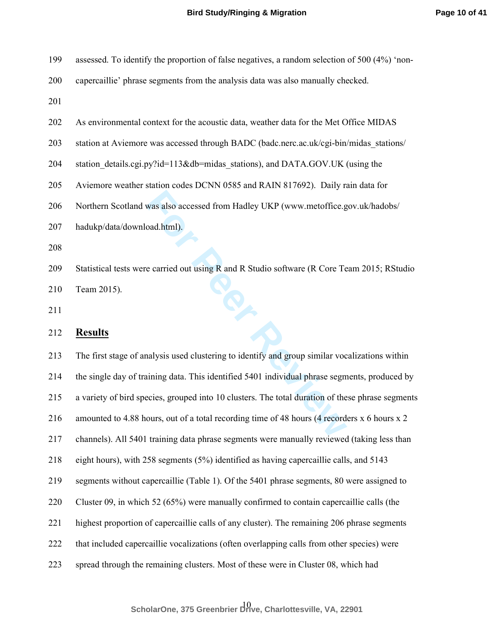| 199 | 3 assessed. To identify the proportion of false negatives, a random selection of 500 (4%) 'non- |  |  |  |  |  |
|-----|-------------------------------------------------------------------------------------------------|--|--|--|--|--|
|-----|-------------------------------------------------------------------------------------------------|--|--|--|--|--|

200 capercaillie' phrase segments from the analysis data was also manually checked.

201

- 202 As environmental context for the acoustic data, weather data for the Met Office MIDAS
- 203 station at Aviemore was accessed through BADC (badc.nerc.ac.uk/cgi-bin/midas stations/
- 204 station details.cgi.py?id=113&db=midas stations), and DATA.GOV.UK (using the
- 205 Aviemore weather station codes DCNN 0585 and RAIN 817692). Daily rain data for
- 206 Northern Scotland was also accessed from Hadley UKP (www.metoffice.gov.uk/hadobs/
- 207 hadukp/data/download.html).
- 208
- 209 Statistical tests were carried out using R and R Studio software (R Core Team 2015; RStudio 210 Team 2015). 210 Team  $2013$ ,<br>212 **Results**<br>213 The first stage of analysis used clustering to identify and group similar vocalizations within
- 211

## 212 **Results**

was also accessed from Hadley UKP (www.metoffice.good.html).<br> **For Peer Contains and Particular Studio Software (R Core Te**<br> **For Peer Reviews** and Particular Studio Software (R Core Te<br> **For Peer Reviews** and Particular S 214 the single day of training data. This identified 5401 individual phrase segments, produced by 215 a variety of bird species, grouped into 10 clusters. The total duration of these phrase segments 216 amounted to 4.88 hours, out of a total recording time of 48 hours (4 recorders x 6 hours x 2 217 channels). All 5401 training data phrase segments were manually reviewed (taking less than 218 eight hours), with 258 segments (5%) identified as having capercaillie calls, and 5143 219 segments without capercaillie (Table 1). Of the 5401 phrase segments, 80 were assigned to 220 Cluster 09, in which 52 (65%) were manually confirmed to contain capercaillie calls (the 221 highest proportion of capercaillie calls of any cluster). The remaining 206 phrase segments 222 that included capercaillie vocalizations (often overlapping calls from other species) were 223 spread through the remaining clusters. Most of these were in Cluster 08, which had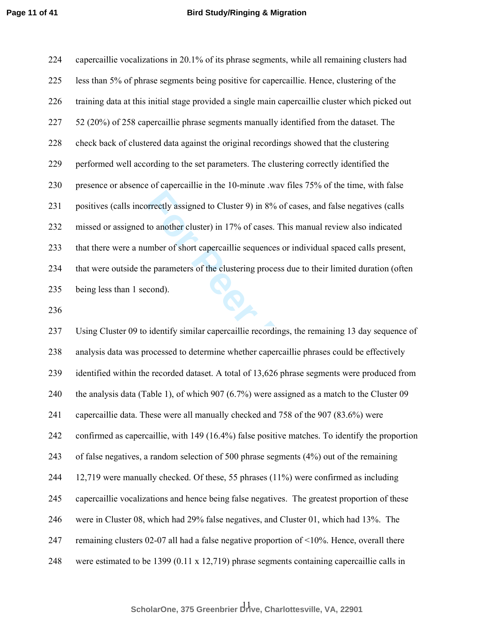224 capercaillie vocalizations in 20.1% of its phrase segments, while all remaining clusters had 225 less than 5% of phrase segments being positive for capercaillie. Hence, clustering of the 226 training data at this initial stage provided a single main capercaillie cluster which picked out 227 52 (20%) of 258 capercaillie phrase segments manually identified from the dataset. The 228 check back of clustered data against the original recordings showed that the clustering 229 performed well according to the set parameters. The clustering correctly identified the 230 presence or absence of capercaillie in the 10-minute .wav files 75% of the time, with false 231 positives (calls incorrectly assigned to Cluster 9) in 8% of cases, and false negatives (calls 232 missed or assigned to another cluster) in 17% of cases. This manual review also indicated 233 that there were a number of short capercaillie sequences or individual spaced calls present, 234 that were outside the parameters of the clustering process due to their limited duration (often 235 being less than 1 second).

236

between the Cluster 9) in 8% of cases, and false<br>to another cluster) in 17% of cases. This manual review<br>umber of short capercaillie sequences or individual space<br>parameters of the clustering process due to their limit<br>con 237 Using Cluster 09 to identify similar capercaillie recordings, the remaining 13 day sequence of 238 analysis data was processed to determine whether capercaillie phrases could be effectively 239 identified within the recorded dataset. A total of 13,626 phrase segments were produced from 240 the analysis data (Table 1), of which 907 (6.7%) were assigned as a match to the Cluster 09 241 capercaillie data. These were all manually checked and 758 of the 907 (83.6%) were 242 confirmed as capercaillie, with 149 (16.4%) false positive matches. To identify the proportion 243 of false negatives, a random selection of 500 phrase segments (4%) out of the remaining 244 12,719 were manually checked. Of these, 55 phrases (11%) were confirmed as including 245 capercaillie vocalizations and hence being false negatives. The greatest proportion of these 246 were in Cluster 08, which had 29% false negatives, and Cluster 01, which had 13%. The 247 remaining clusters 02-07 all had a false negative proportion of <10%. Hence, overall there 248 were estimated to be 1399 (0.11 x 12,719) phrase segments containing capercaillie calls in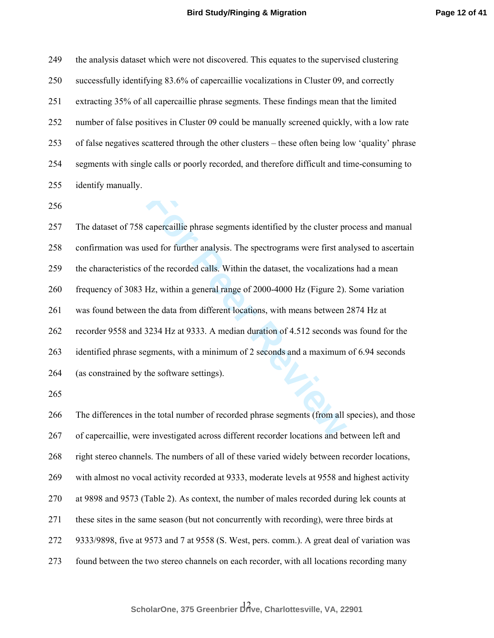249 the analysis dataset which were not discovered. This equates to the supervised clustering 250 successfully identifying 83.6% of capercaillie vocalizations in Cluster 09, and correctly 251 extracting 35% of all capercaillie phrase segments. These findings mean that the limited 252 number of false positives in Cluster 09 could be manually screened quickly, with a low rate 253 of false negatives scattered through the other clusters – these often being low 'quality' phrase 254 segments with single calls or poorly recorded, and therefore difficult and time-consuming to 255 identify manually.

256

capercaillie phrase segments identified by the cluster pr<br>sed for further analysis. The spectrograms were first ana<br>for the recorded calls. Within the dataset, the vocalization<br>Hz, within a general range of 2000-4000 Hz (F 257 The dataset of 758 capercaillie phrase segments identified by the cluster process and manual 258 confirmation was used for further analysis. The spectrograms were first analysed to ascertain 259 the characteristics of the recorded calls. Within the dataset, the vocalizations had a mean 260 frequency of 3083 Hz, within a general range of 2000-4000 Hz (Figure 2). Some variation 261 was found between the data from different locations, with means between 2874 Hz at 262 recorder 9558 and 3234 Hz at 9333. A median duration of 4.512 seconds was found for the 263 identified phrase segments, with a minimum of 2 seconds and a maximum of 6.94 seconds 264 (as constrained by the software settings). 265 266 The differences in the total number of recorded phrase segments (from all species), and those 267 of capercaillie, were investigated across different recorder locations and between left and 268 right stereo channels. The numbers of all of these varied widely between recorder locations,

269 with almost no vocal activity recorded at 9333, moderate levels at 9558 and highest activity

270 at 9898 and 9573 (Table 2). As context, the number of males recorded during lek counts at

271 these sites in the same season (but not concurrently with recording), were three birds at

272 9333/9898, five at 9573 and 7 at 9558 (S. West, pers. comm.). A great deal of variation was

273 found between the two stereo channels on each recorder, with all locations recording many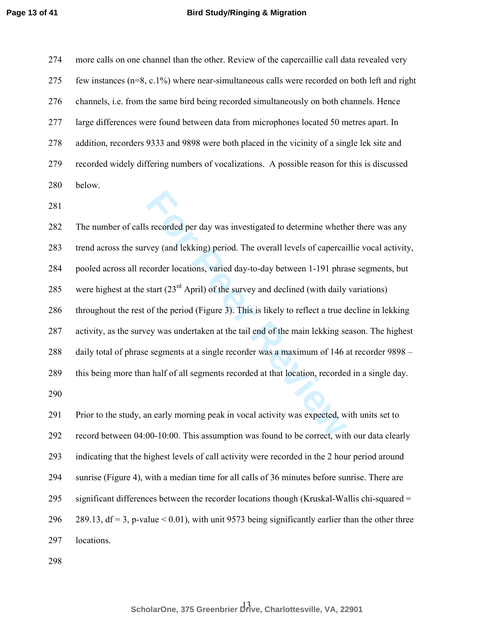274 more calls on one channel than the other. Review of the capercaillie call data revealed very 275 few instances (n=8, c.1%) where near-simultaneous calls were recorded on both left and right 276 channels, i.e. from the same bird being recorded simultaneously on both channels. Hence 277 large differences were found between data from microphones located 50 metres apart. In 278 addition, recorders 9333 and 9898 were both placed in the vicinity of a single lek site and 279 recorded widely differing numbers of vocalizations. A possible reason for this is discussed 280 below.

281

s recorded per day was investigated to determine wheth<br> **For Peer All Step Assumption** was investigated to determine wheth<br> **For Peer Reviews** (contains, varied day-to-day between 1-191 phra<br> **Start**  $(23^{nd}$  April) of th 282 The number of calls recorded per day was investigated to determine whether there was any 283 trend across the survey (and lekking) period. The overall levels of capercaillie vocal activity, 284 pooled across all recorder locations, varied day-to-day between 1-191 phrase segments, but 285 were highest at the start  $(23^{rd}$  April) of the survey and declined (with daily variations) 286 throughout the rest of the period (Figure 3). This is likely to reflect a true decline in lekking 287 activity, as the survey was undertaken at the tail end of the main lekking season. The highest 288 daily total of phrase segments at a single recorder was a maximum of 146 at recorder 9898 – 289 this being more than half of all segments recorded at that location, recorded in a single day. 290 291 Prior to the study, an early morning peak in vocal activity was expected, with units set to 292 record between 04:00-10:00. This assumption was found to be correct, with our data clearly 293 indicating that the highest levels of call activity were recorded in the 2 hour period around 294 sunrise (Figure 4), with a median time for all calls of 36 minutes before sunrise. There are 295 significant differences between the recorder locations though (Kruskal-Wallis chi-squared = 296 289.13,  $df = 3$ , p-value < 0.01), with unit 9573 being significantly earlier than the other three 297 locations.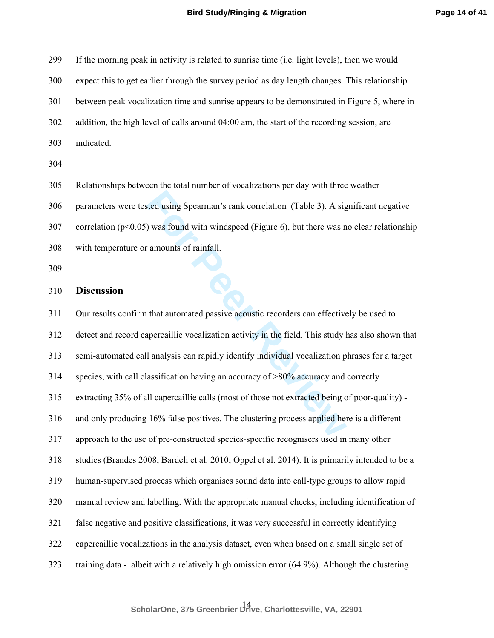299 If the morning peak in activity is related to sunrise time (i.e. light levels), then we would 300 expect this to get earlier through the survey period as day length changes. This relationship 301 between peak vocalization time and sunrise appears to be demonstrated in Figure 5, where in 302 addition, the high level of calls around 04:00 am, the start of the recording session, are 303 indicated.

304

305 Relationships between the total number of vocalizations per day with three weather

306 parameters were tested using Spearman's rank correlation (Table 3). A significant negative

307 correlation ( $p \le 0.05$ ) was found with windspeed (Figure 6), but there was no clear relationship

308 with temperature or amounts of rainfall.

309

#### 310 **Discussion**

sted using Spearman's rank correlation (Table 3). A signal was found with windspeed (Figure 6), but there was not<br>amounts of rainfall.<br>This study is a mount of rainfall.<br>At that automated passive acoustic recorders can eff 311 Our results confirm that automated passive acoustic recorders can effectively be used to 312 detect and record capercaillie vocalization activity in the field. This study has also shown that 313 semi-automated call analysis can rapidly identify individual vocalization phrases for a target 314 species, with call classification having an accuracy of >80% accuracy and correctly 315 extracting 35% of all capercaillie calls (most of those not extracted being of poor-quality) - 316 and only producing 16% false positives. The clustering process applied here is a different 317 approach to the use of pre-constructed species-specific recognisers used in many other 318 studies (Brandes 2008; Bardeli et al. 2010; Oppel et al. 2014). It is primarily intended to be a 319 human-supervised process which organises sound data into call-type groups to allow rapid 320 manual review and labelling. With the appropriate manual checks, including identification of 321 false negative and positive classifications, it was very successful in correctly identifying 322 capercaillie vocalizations in the analysis dataset, even when based on a small single set of 323 training data - albeit with a relatively high omission error (64.9%). Although the clustering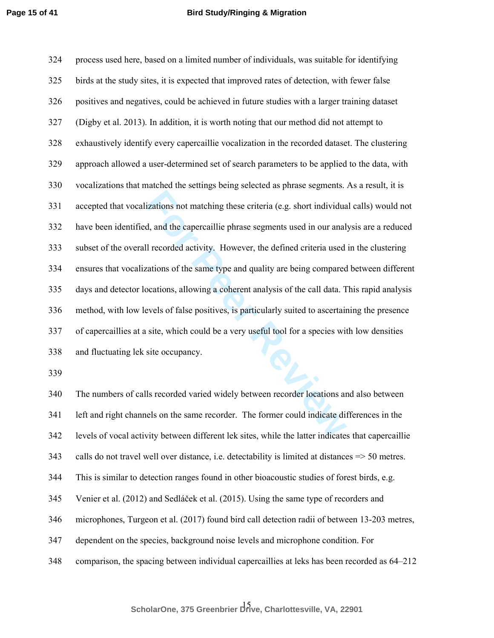izations not matching these criteria (e.g. short individua<br>d, and the capercaillie phrase segments used in our anal<br>Il recorded activity. However, the defined criteria used<br>vations of the same type and quality are being co 324 process used here, based on a limited number of individuals, was suitable for identifying 325 birds at the study sites, it is expected that improved rates of detection, with fewer false 326 positives and negatives, could be achieved in future studies with a larger training dataset 327 (Digby et al. 2013). In addition, it is worth noting that our method did not attempt to 328 exhaustively identify every capercaillie vocalization in the recorded dataset. The clustering 329 approach allowed a user-determined set of search parameters to be applied to the data, with 330 vocalizations that matched the settings being selected as phrase segments. As a result, it is 331 accepted that vocalizations not matching these criteria (e.g. short individual calls) would not 332 have been identified, and the capercaillie phrase segments used in our analysis are a reduced 333 subset of the overall recorded activity. However, the defined criteria used in the clustering 334 ensures that vocalizations of the same type and quality are being compared between different 335 days and detector locations, allowing a coherent analysis of the call data. This rapid analysis 336 method, with low levels of false positives, is particularly suited to ascertaining the presence 337 of capercaillies at a site, which could be a very useful tool for a species with low densities 338 and fluctuating lek site occupancy.

339

340 The numbers of calls recorded varied widely between recorder locations and also between 341 left and right channels on the same recorder. The former could indicate differences in the 342 levels of vocal activity between different lek sites, while the latter indicates that capercaillie 343 calls do not travel well over distance, i.e. detectability is limited at distances => 50 metres. 344 This is similar to detection ranges found in other bioacoustic studies of forest birds, e.g. 345 Venier et al. (2012) and Sedláček et al. (2015). Using the same type of recorders and 346 microphones, Turgeon et al. (2017) found bird call detection radii of between 13-203 metres, 347 dependent on the species, background noise levels and microphone condition. For 348 comparison, the spacing between individual capercaillies at leks has been recorded as 64–212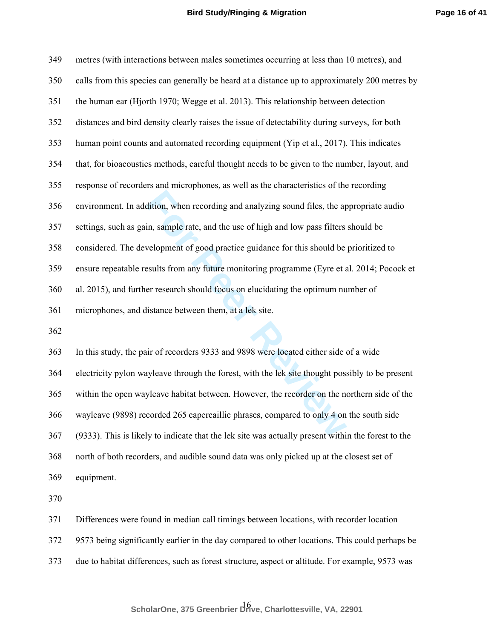| 349 | metres (with interactions between males sometimes occurring at less than 10 metres), and           |
|-----|----------------------------------------------------------------------------------------------------|
| 350 | calls from this species can generally be heard at a distance up to approximately 200 metres by     |
| 351 | the human ear (Hjorth 1970; Wegge et al. 2013). This relationship between detection                |
| 352 | distances and bird density clearly raises the issue of detectability during surveys, for both      |
| 353 | human point counts and automated recording equipment (Yip et al., 2017). This indicates            |
| 354 | that, for bioacoustics methods, careful thought needs to be given to the number, layout, and       |
| 355 | response of recorders and microphones, as well as the characteristics of the recording             |
| 356 | environment. In addition, when recording and analyzing sound files, the appropriate audio          |
| 357 | settings, such as gain, sample rate, and the use of high and low pass filters should be            |
| 358 | considered. The development of good practice guidance for this should be prioritized to            |
| 359 | ensure repeatable results from any future monitoring programme (Eyre et al. 2014; Pocock et        |
| 360 | al. 2015), and further research should focus on elucidating the optimum number of                  |
| 361 | microphones, and distance between them, at a lek site.                                             |
| 362 |                                                                                                    |
| 363 | In this study, the pair of recorders 9333 and 9898 were located either side of a wide              |
| 364 | electricity pylon wayleave through the forest, with the lek site thought possibly to be present    |
| 365 | within the open wayleave habitat between. However, the recorder on the northern side of the        |
| 366 | wayleave (9898) recorded 265 capercaillie phrases, compared to only 4 on the south side            |
| 367 | (9333). This is likely to indicate that the lek site was actually present within the forest to the |
| 368 | north of both recorders, and audible sound data was only picked up at the closest set of           |

369 equipment.

370

371 Differences were found in median call timings between locations, with recorder location

372 9573 being significantly earlier in the day compared to other locations. This could perhaps be

373 due to habitat differences, such as forest structure, aspect or altitude. For example, 9573 was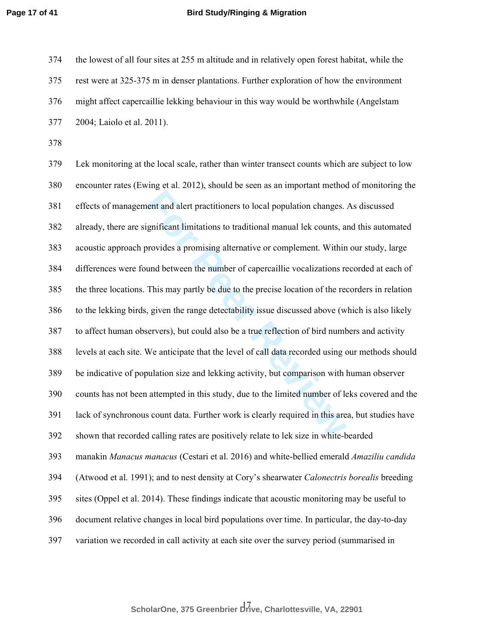374 the lowest of all four sites at 255 m altitude and in relatively open forest habitat, while the 375 rest were at 325-375 m in denser plantations. Further exploration of how the environment 376 might affect capercaillie lekking behaviour in this way would be worthwhile (Angelstam 377 2004; Laiolo et al. 2011).

378

Fractioners to local population changes.<br> **Example 15 Example 10** interpretent interesting a promising alternative or complement. Within<br>
und between the number of capercaillie vocalizations re<br>
This may partly be due to t 379 Lek monitoring at the local scale, rather than winter transect counts which are subject to low 380 encounter rates (Ewing et al. 2012), should be seen as an important method of monitoring the 381 effects of management and alert practitioners to local population changes. As discussed 382 already, there are significant limitations to traditional manual lek counts, and this automated 383 acoustic approach provides a promising alternative or complement. Within our study, large 384 differences were found between the number of capercaillie vocalizations recorded at each of 385 the three locations. This may partly be due to the precise location of the recorders in relation 386 to the lekking birds, given the range detectability issue discussed above (which is also likely 387 to affect human observers), but could also be a true reflection of bird numbers and activity 388 levels at each site. We anticipate that the level of call data recorded using our methods should 389 be indicative of population size and lekking activity, but comparison with human observer 390 counts has not been attempted in this study, due to the limited number of leks covered and the 391 lack of synchronous count data. Further work is clearly required in this area, but studies have 392 shown that recorded calling rates are positively relate to lek size in white-bearded 393 manakin *Manacus manacus* (Cestari et al. 2016) and white-bellied emerald *Amaziliu candida* 394 (Atwood et al. 1991); and to nest density at Cory's shearwater *Calonectris borealis* breeding 395 sites (Oppel et al. 2014). These findings indicate that acoustic monitoring may be useful to 396 document relative changes in local bird populations over time. In particular, the day-to-day 397 variation we recorded in call activity at each site over the survey period (summarised in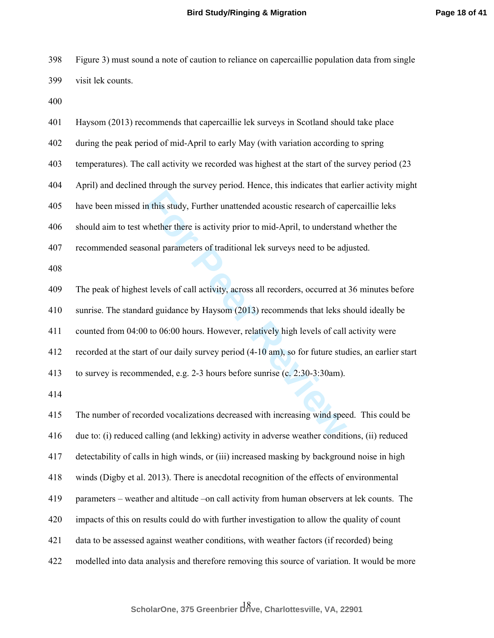398 Figure 3) must sound a note of caution to reliance on capercaillie population data from single 399 visit lek counts.

400

| 401 | Haysom (2013) recommends that capercaillie lek surveys in Scotland should take place                |
|-----|-----------------------------------------------------------------------------------------------------|
| 402 | during the peak period of mid-April to early May (with variation according to spring                |
| 403 | temperatures). The call activity we recorded was highest at the start of the survey period (23)     |
| 404 | April) and declined through the survey period. Hence, this indicates that earlier activity might    |
| 405 | have been missed in this study, Further unattended acoustic research of capercaillie leks           |
| 406 | should aim to test whether there is activity prior to mid-April, to understand whether the          |
| 407 | recommended seasonal parameters of traditional lek surveys need to be adjusted.                     |
| 408 |                                                                                                     |
| 409 | The peak of highest levels of call activity, across all recorders, occurred at 36 minutes before    |
| 410 | sunrise. The standard guidance by Haysom (2013) recommends that leks should ideally be              |
| 411 | counted from 04:00 to 06:00 hours. However, relatively high levels of call activity were            |
| 412 | recorded at the start of our daily survey period (4-10 am), so for future studies, an earlier start |
| 413 | to survey is recommended, e.g. 2-3 hours before sunrise (c. 2:30-3:30am).                           |
| 414 |                                                                                                     |
| 415 | The number of recorded vocalizations decreased with increasing wind speed. This could be            |
| 416 | due to: (i) reduced calling (and lekking) activity in adverse weather conditions, (ii) reduced      |
| 417 | detectability of calls in high winds, or (iii) increased masking by background noise in high        |
| 418 | winds (Digby et al. 2013). There is anecdotal recognition of the effects of environmental           |
| 419 | parameters - weather and altitude -on call activity from human observers at lek counts. The         |
| 420 | impacts of this on results could do with further investigation to allow the quality of count        |
| 421 | data to be assessed against weather conditions, with weather factors (if recorded) being            |
| 422 | modelled into data analysis and therefore removing this source of variation. It would be more       |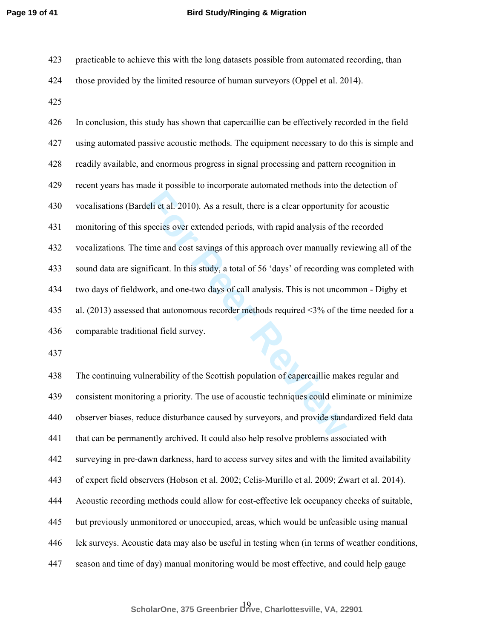- 423 practicable to achieve this with the long datasets possible from automated recording, than 424 those provided by the limited resource of human surveyors (Oppel et al. 2014).
- 425

eli et al. 2010). As a result, there is a clear opportunity is<br>pecies over extended periods, with rapid analysis of the<br>time and cost savings of this approach over manually re<br>ificant. In this study, a total of 56 'days' o 426 In conclusion, this study has shown that capercaillie can be effectively recorded in the field 427 using automated passive acoustic methods. The equipment necessary to do this is simple and 428 readily available, and enormous progress in signal processing and pattern recognition in 429 recent years has made it possible to incorporate automated methods into the detection of 430 vocalisations (Bardeli et al. 2010). As a result, there is a clear opportunity for acoustic 431 monitoring of this species over extended periods, with rapid analysis of the recorded 432 vocalizations. The time and cost savings of this approach over manually reviewing all of the 433 sound data are significant. In this study, a total of 56 'days' of recording was completed with 434 two days of fieldwork, and one-two days of call analysis. This is not uncommon - Digby et 435 al. (2013) assessed that autonomous recorder methods required <3% of the time needed for a 436 comparable traditional field survey.

437

438 The continuing vulnerability of the Scottish population of capercaillie makes regular and 439 consistent monitoring a priority. The use of acoustic techniques could eliminate or minimize 440 observer biases, reduce disturbance caused by surveyors, and provide standardized field data 441 that can be permanently archived. It could also help resolve problems associated with 442 surveying in pre-dawn darkness, hard to access survey sites and with the limited availability 443 of expert field observers (Hobson et al. 2002; Celis-Murillo et al. 2009; Zwart et al. 2014). 444 Acoustic recording methods could allow for cost-effective lek occupancy checks of suitable, 445 but previously unmonitored or unoccupied, areas, which would be unfeasible using manual 446 lek surveys. Acoustic data may also be useful in testing when (in terms of weather conditions, 447 season and time of day) manual monitoring would be most effective, and could help gauge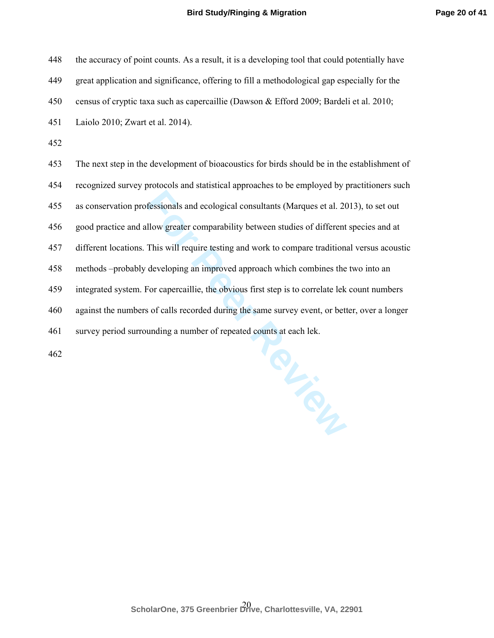| 448 | the accuracy of point counts. As a result, it is a developing tool that could potentially have |
|-----|------------------------------------------------------------------------------------------------|
| 449 | great application and significance, offering to fill a methodological gap especially for the   |
| 450 | census of cryptic taxa such as capercaillie (Dawson & Efford 2009; Bardeli et al. 2010;        |
| 451 | Laiolo 2010; Zwart et al. 2014).                                                               |
| 452 |                                                                                                |
| 453 | The next step in the development of bioacoustics for birds should be in the establishment of   |
| 454 | recognized survey protocols and statistical approaches to be employed by practitioners such    |
| 455 | as conservation professionals and ecological consultants (Marques et al. 2013), to set out     |
| 456 | good practice and allow greater comparability between studies of different species and at      |
| 457 | different locations. This will require testing and work to compare traditional versus acoustic |
| 458 | methods -probably developing an improved approach which combines the two into an               |
| 459 | integrated system. For capercaillie, the obvious first step is to correlate lek count numbers  |
| 460 | against the numbers of calls recorded during the same survey event, or better, over a longer   |
| 461 | survey period surrounding a number of repeated counts at each lek.                             |
|     |                                                                                                |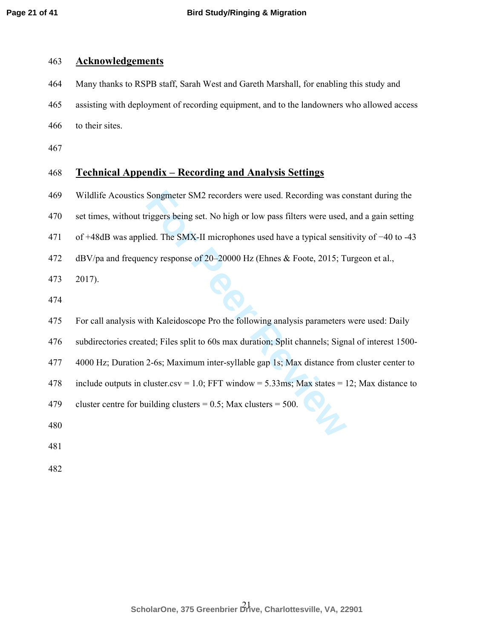## 463 **Acknowledgements**

464 Many thanks to RSPB staff, Sarah West and Gareth Marshall, for enabling this study and 465 assisting with deployment of recording equipment, and to the landowners who allowed access 466 to their sites.

467

# 468 **Technical Appendix – Recording and Analysis Settings**

469 Wildlife Acoustics Songmeter SM2 recorders were used. Recording was constant during the

470 set times, without triggers being set. No high or low pass filters were used, and a gain setting

471 of +48dB was applied. The SMX-II microphones used have a typical sensitivity of −40 to -43

472 dBV/pa and frequency response of 20–20000 Hz (Ehnes & Foote, 2015; Turgeon et al.,

473 2017).

474

Songmeter SM2 recorders were used. Recording was considered in the small of the SMX-II microphones used have a typical sensition of the SMX-II microphones used have a typical sensition of response of 20–20000 Hz (Ehnes & F 475 For call analysis with Kaleidoscope Pro the following analysis parameters were used: Daily 476 subdirectories created; Files split to 60s max duration; Split channels; Signal of interest 1500- 477 4000 Hz; Duration 2-6s; Maximum inter-syllable gap 1s; Max distance from cluster center to 478 include outputs in cluster.csv = 1.0; FFT window = 5.33ms; Max states = 12; Max distance to 479 cluster centre for building clusters  $= 0.5$ ; Max clusters  $= 500$ . 480

481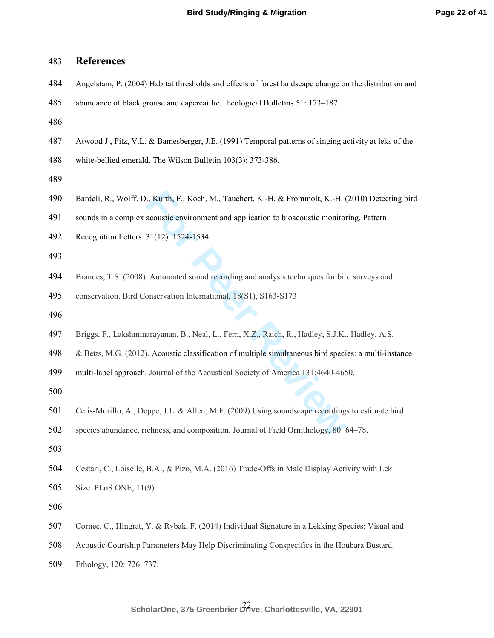| 483 | <b>References</b>                                                                                      |
|-----|--------------------------------------------------------------------------------------------------------|
| 484 | Angelstam, P. (2004) Habitat thresholds and effects of forest landscape change on the distribution and |
| 485 | abundance of black grouse and capercaillie. Ecological Bulletins 51: 173–187.                          |
| 486 |                                                                                                        |
| 487 | Atwood J., Fitz, V.L. & Bamesberger, J.E. (1991) Temporal patterns of singing activity at leks of the  |
| 488 | white-bellied emerald. The Wilson Bulletin 103(3): 373-386.                                            |
| 489 |                                                                                                        |
| 490 | Bardeli, R., Wolff, D., Kurth, F., Koch, M., Tauchert, K.-H. & Frommolt, K.-H. (2010) Detecting bird   |
| 491 | sounds in a complex acoustic environment and application to bioacoustic monitoring. Pattern            |
| 492 | Recognition Letters. 31(12): 1524-1534.                                                                |
| 493 |                                                                                                        |
| 494 | Brandes, T.S. (2008). Automated sound recording and analysis techniques for bird surveys and           |
| 495 | conservation. Bird Conservation International, 18(S1), S163-S173                                       |
| 496 |                                                                                                        |
| 497 | Briggs, F., Lakshminarayanan, B., Neal, L., Fern, X.Z., Raich, R., Hadley, S.J.K., Hadley, A.S.        |
| 498 | & Betts, M.G. (2012). Acoustic classification of multiple simultaneous bird species: a multi-instance  |
| 499 | multi-label approach. Journal of the Acoustical Society of America 131:4640-4650.                      |
| 500 |                                                                                                        |
| 501 | Celis-Murillo, A., Deppe, J.L. & Allen, M.F. (2009) Using soundscape recordings to estimate bird       |
| 502 | species abundance, richness, and composition. Journal of Field Ornithology, 80: 64–78.                 |
| 503 |                                                                                                        |
| 504 | Cestari, C., Loiselle, B.A., & Pizo, M.A. (2016) Trade-Offs in Male Display Activity with Lek          |
| 505 | Size. PLoS ONE, 11(9).                                                                                 |
| 506 |                                                                                                        |
| 507 | Cornec, C., Hingrat, Y. & Rybak, F. (2014) Individual Signature in a Lekking Species: Visual and       |
| 508 | Acoustic Courtship Parameters May Help Discriminating Conspecifics in the Houbara Bustard.             |
| 509 | Ethology, 120: 726-737.                                                                                |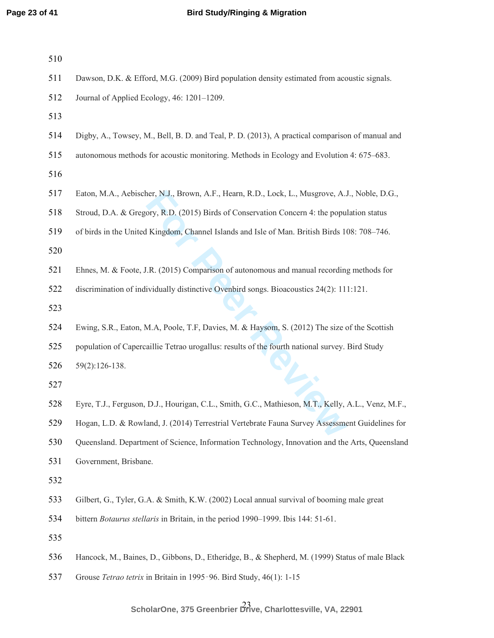| 511 | Dawson, D.K. & Efford, M.G. (2009) Bird population density estimated from acoustic signals.        |
|-----|----------------------------------------------------------------------------------------------------|
| 512 | Journal of Applied Ecology, 46: 1201-1209.                                                         |
| 513 |                                                                                                    |
| 514 | Digby, A., Towsey, M., Bell, B. D. and Teal, P. D. (2013), A practical comparison of manual and    |
| 515 | autonomous methods for acoustic monitoring. Methods in Ecology and Evolution 4: 675–683.           |
| 516 |                                                                                                    |
| 517 | Eaton, M.A., Aebischer, N.J., Brown, A.F., Hearn, R.D., Lock, L., Musgrove, A.J., Noble, D.G.,     |
| 518 | Stroud, D.A. & Gregory, R.D. (2015) Birds of Conservation Concern 4: the population status         |
| 519 | of birds in the United Kingdom, Channel Islands and Isle of Man. British Birds 108: 708-746.       |
| 520 |                                                                                                    |
| 521 | Ehnes, M. & Foote, J.R. (2015) Comparison of autonomous and manual recording methods for           |
| 522 | discrimination of individually distinctive Ovenbird songs. Bioacoustics 24(2): 111:121.            |
| 523 |                                                                                                    |
| 524 | Ewing, S.R., Eaton, M.A, Poole, T.F, Davies, M. & Haysom, S. (2012) The size of the Scottish       |
| 525 | population of Capercaillie Tetrao urogallus: results of the fourth national survey. Bird Study     |
| 526 | $59(2):126-138.$                                                                                   |
| 527 |                                                                                                    |
| 528 | Eyre, T.J., Ferguson, D.J., Hourigan, C.L., Smith, G.C., Mathieson, M.T., Kelly, A.L., Venz, M.F., |
| 529 | Hogan, L.D. & Rowland, J. (2014) Terrestrial Vertebrate Fauna Survey Assessment Guidelines for     |
| 530 | Queensland. Department of Science, Information Technology, Innovation and the Arts, Queensland     |
| 531 | Government, Brisbane.                                                                              |
| 532 |                                                                                                    |
| 533 | Gilbert, G., Tyler, G.A. & Smith, K.W. (2002) Local annual survival of booming male great          |
| 534 | bittern <i>Botaurus stellaris</i> in Britain, in the period 1990–1999. Ibis 144: 51-61.            |
| 535 |                                                                                                    |
| 536 | Hancock, M., Baines, D., Gibbons, D., Etheridge, B., & Shepherd, M. (1999) Status of male Black    |
| 537 | Grouse Tetrao tetrix in Britain in 1995-96. Bird Study, 46(1): 1-15                                |
|     |                                                                                                    |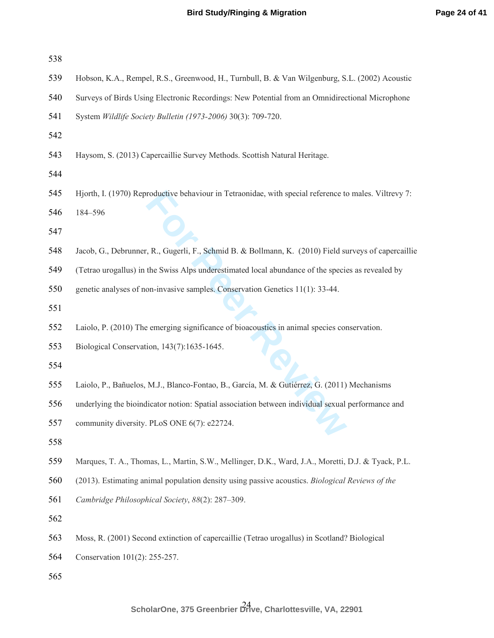| 538 |                                                                                                       |
|-----|-------------------------------------------------------------------------------------------------------|
| 539 | Hobson, K.A., Rempel, R.S., Greenwood, H., Turnbull, B. & Van Wilgenburg, S.L. (2002) Acoustic        |
| 540 | Surveys of Birds Using Electronic Recordings: New Potential from an Omnidirectional Microphone        |
| 541 | System Wildlife Society Bulletin (1973-2006) 30(3): 709-720.                                          |
| 542 |                                                                                                       |
| 543 | Haysom, S. (2013) Capercaillie Survey Methods. Scottish Natural Heritage.                             |
| 544 |                                                                                                       |
| 545 | Hjorth, I. (1970) Reproductive behaviour in Tetraonidae, with special reference to males. Viltrevy 7: |
| 546 | 184-596                                                                                               |
| 547 |                                                                                                       |
| 548 | Jacob, G., Debrunner, R., Gugerli, F., Schmid B. & Bollmann, K. (2010) Field surveys of capercaillie  |
| 549 | (Tetrao urogallus) in the Swiss Alps underestimated local abundance of the species as revealed by     |
| 550 | genetic analyses of non-invasive samples. Conservation Genetics 11(1): 33-44.                         |
| 551 |                                                                                                       |
| 552 | Laiolo, P. (2010) The emerging significance of bioacoustics in animal species conservation.           |
| 553 | Biological Conservation, 143(7):1635-1645.                                                            |
| 554 |                                                                                                       |
| 555 | Laiolo, P., Bañuelos, M.J., Blanco-Fontao, B., García, M. & Gutiérrez, G. (2011) Mechanisms           |
| 556 | underlying the bioindicator notion: Spatial association between individual sexual performance and     |
| 557 | community diversity. PLoS ONE 6(7): e22724.                                                           |
| 558 |                                                                                                       |
| 559 | Marques, T. A., Thomas, L., Martin, S.W., Mellinger, D.K., Ward, J.A., Moretti, D.J. & Tyack, P.L.    |
| 560 | (2013). Estimating animal population density using passive acoustics. Biological Reviews of the       |
| 561 | Cambridge Philosophical Society, 88(2): 287-309.                                                      |
| 562 |                                                                                                       |
| 563 | Moss, R. (2001) Second extinction of capercaillie (Tetrao urogallus) in Scotland? Biological          |
| 564 | Conservation 101(2): 255-257.                                                                         |
| 565 |                                                                                                       |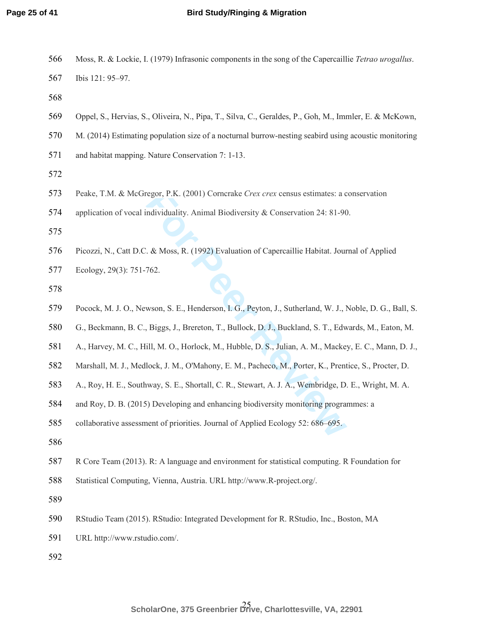| 566 | Moss, R. & Lockie, I. (1979) Infrasonic components in the song of the Capercaillie Tetrao urogallus. |
|-----|------------------------------------------------------------------------------------------------------|
|     |                                                                                                      |

Ibis 121: 95–97.

- Oppel, S., Hervias, S., Oliveira, N., Pipa, T., Silva, C., Geraldes, P., Goh, M., Immler, E. & McKown,
- M. (2014) Estimating population size of a nocturnal burrow-nesting seabird using acoustic monitoring
- and habitat mapping. Nature Conservation 7: 1-13.

- regor, P.K. (2001) Corncrake Crex crex census estimates: a c<br>ndividuality. Animal Biodiversity & Conservation 24: 81-90<br>. & Moss, R. (1992) Evaluation of Capercaillie Habitat. Jour<br>762.<br>wson, S. E., Henderson, I. G., Peyto Peake, T.M. & McGregor, P.K. (2001) Corncrake *Crex crex* census estimates: a conservation
- application of vocal individuality. Animal Biodiversity & Conservation 24: 81-90.

Picozzi, N., Catt D.C. & Moss, R. (1992) Evaluation of Capercaillie Habitat. Journal of Applied

Ecology, 29(3): 751-762.

- Pocock, M. J. O., Newson, S. E., Henderson, I. G., Peyton, J., Sutherland, W. J., Noble, D. G., Ball, S.
- G., Beckmann, B. C., Biggs, J., Brereton, T., Bullock, D. J., Buckland, S. T., Edwards, M., Eaton, M.
- A., Harvey, M. C., Hill, M. O., Horlock, M., Hubble, D. S., Julian, A. M., Mackey, E. C., Mann, D. J.,
- Marshall, M. J., Medlock, J. M., O'Mahony, E. M., Pacheco, M., Porter, K., Prentice, S., Procter, D.
- A., Roy, H. E., Southway, S. E., Shortall, C. R., Stewart, A. J. A., Wembridge, D. E., Wright, M. A.
- and Roy, D. B. (2015) Developing and enhancing biodiversity monitoring programmes: a
- collaborative assessment of priorities. Journal of Applied Ecology 52: 686–695.
- 
- R Core Team (2013). R: A language and environment for statistical computing. R Foundation for
- Statistical Computing, Vienna, Austria. URL http://www.R-project.org/.
- 
- RStudio Team (2015). RStudio: Integrated Development for R. RStudio, Inc., Boston, MA
- URL http://www.rstudio.com/.
-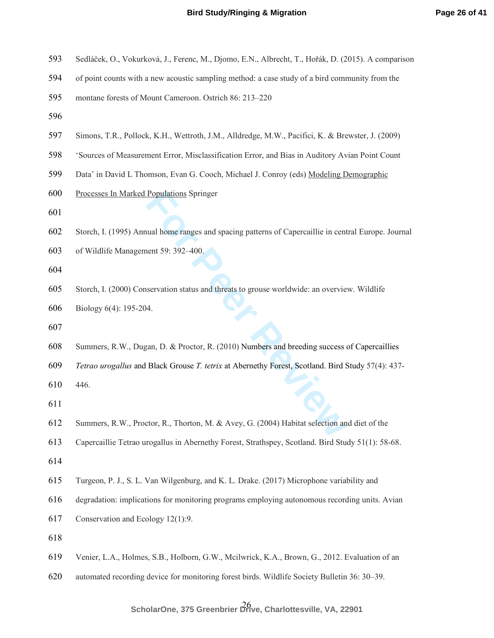- Sedláček, O., Vokurková, J., Ferenc, M., Djomo, E.N., Albrecht, T., Hořák, D. (2015). A comparison
- of point counts with a new acoustic sampling method: a case study of a bird community from the
- montane forests of Mount Cameroon. Ostrich 86: 213–220
- 
- Simons, T.R., Pollock, K.H., Wettroth, J.M., Alldredge, M.W., Pacifici, K. & Brewster, J. (2009)
- 'Sources of Measurement Error, Misclassification Error, and Bias in Auditory Avian Point Count
- Data' in David L Thomson, Evan G. Cooch, Michael J. Conroy (eds) Modeling Demographic
- Processes In Marked Populations Springer
- 
- **Populations** Springer<br>
uual home ranges and spacing patterns of Capercaillie in cent<br>
nent 59: 392–400.<br>
servation status and threats to grouse worldwide: an overvie<br>
4.<br>
agan, D. & Proctor, R. (2010) Numbers and breeding Storch, I. (1995) Annual home ranges and spacing patterns of Capercaillie in central Europe. Journal
- of Wildlife Management 59: 392–400.
- 
- Storch, I. (2000) Conservation status and threats to grouse worldwide: an overview. Wildlife
- Biology 6(4): 195-204.
- 
- Summers, R.W., Dugan, D. & Proctor, R. (2010) Numbers and breeding success of Capercaillies
- *Tetrao urogallus* and Black Grouse *T. tetrix* at Abernethy Forest, Scotland. Bird Study 57(4): 437-
- 446.
- 
- Summers, R.W., Proctor, R., Thorton, M. & Avey, G. (2004) Habitat selection and diet of the
- Capercaillie Tetrao urogallus in Abernethy Forest, Strathspey, Scotland. Bird Study 51(1): 58-68.
- 
- Turgeon, P. J., S. L. Van Wilgenburg, and K. L. Drake. (2017) Microphone variability and
- degradation: implications for monitoring programs employing autonomous recording units. Avian
- Conservation and Ecology 12(1):9.
- 
- Venier, L.A., Holmes, S.B., Holborn, G.W., Mcilwrick, K.A., Brown, G., 2012. Evaluation of an
- automated recording device for monitoring forest birds. Wildlife Society Bulletin 36: 30–39.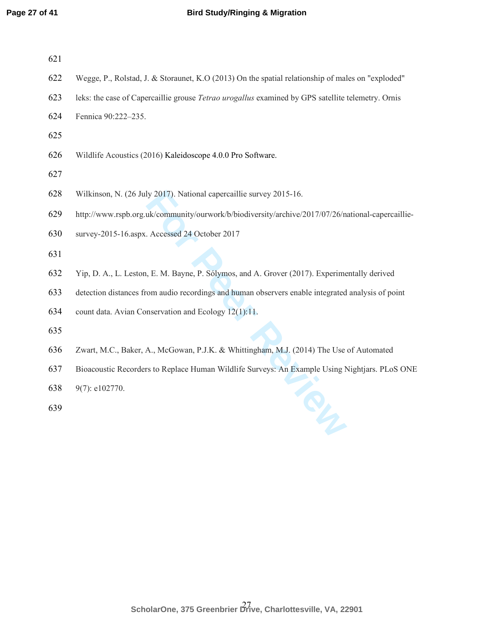| 621 |  |  |  |
|-----|--|--|--|
|     |  |  |  |

- Wegge, P., Rolstad, J. & Storaunet, K.O (2013) On the spatial relationship of males on "exploded"
- leks: the case of Capercaillie grouse *Tetrao urogallus* examined by GPS satellite telemetry. Ornis
- Fennica 90:222–235.
- 
- Wildlife Acoustics (2016) Kaleidoscope 4.0.0 Pro Software.
- 
- Wilkinson, N. (26 July 2017). National capercaillie survey 2015-16.
- http://www.rspb.org.uk/community/ourwork/b/biodiversity/archive/2017/07/26/national-capercaillie-
- survey-2015-16.aspx. Accessed 24 October 2017
- 
- Yip, D. A., L. Leston, E. M. Bayne, P. Sólymos, and A. Grover (2017). Experimentally derived
- detection distances from audio recordings and human observers enable integrated analysis of point
- count data. Avian Conservation and Ecology 12(1):11.
- 
- Zwart, M.C., Baker, A., McGowan, P.J.K. & Whittingham, M.J. (2014) The Use of Automated
- Iy 2017). National capercaillie survey 2015-16.<br>
uk/community/ourwork/b/biodiversity/archive/2017/07/26/n.<br>
Accessed 24 October 2017<br>
1, E. M. Bayne, P. Sólymos, and A. Grover (2017). Experime<br>
om audio recordings and huma Bioacoustic Recorders to Replace Human Wildlife Surveys: An Example Using Nightjars. PLoS ONE
- 9(7): e102770.
-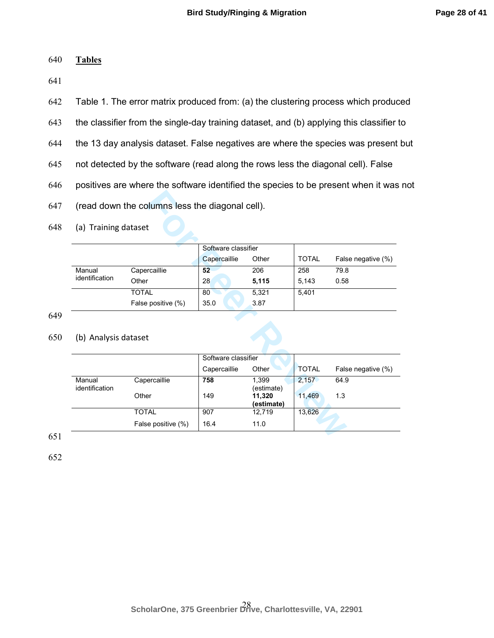#### 640 **Tables**

641

642 Table 1. The error matrix produced from: (a) the clustering process which produced

643 the classifier from the single-day training dataset, and (b) applying this classifier to

- 644 the 13 day analysis dataset. False negatives are where the species was present but
- 645 not detected by the software (read along the rows less the diagonal cell). False
- 646 positives are where the software identified the species to be present when it was not
- 647 (read down the columns less the diagonal cell).
- 648 (a) Training dataset

|                |                    | Software classifier |       |              |                    |
|----------------|--------------------|---------------------|-------|--------------|--------------------|
|                |                    | Capercaillie        | Other | <b>TOTAL</b> | False negative (%) |
| Manual         | Capercaillie       | 52                  | 206   | 258          | 79.8               |
| identification | Other              | 28                  | 5,115 | 5.143        | 0.58               |
|                | <b>TOTAL</b>       | 80                  | 5.321 | 5.401        |                    |
|                | False positive (%) | 35.0                | 3.87  |              |                    |

649

# 650 (b) Analysis dataset

| (read down the columns less the diagonal cell). |                    |                     |                      |                       |                            |
|-------------------------------------------------|--------------------|---------------------|----------------------|-----------------------|----------------------------|
| (a) Training dataset                            |                    |                     |                      |                       |                            |
|                                                 |                    | Software classifier |                      |                       |                            |
|                                                 |                    | Capercaillie        | Other                | <b>TOTAL</b>          | False negative (%)         |
| Manual                                          | Capercaillie       | 52                  | 206                  | 258                   | 79.8                       |
| identification                                  | Other              | 28                  | 5,115                | 5,143                 | 0.58                       |
|                                                 | <b>TOTAL</b>       | 80                  | 5,321                | 5,401                 |                            |
|                                                 | False positive (%) | 35.0                | 3.87                 |                       |                            |
| (b) Analysis dataset                            |                    |                     |                      |                       |                            |
|                                                 |                    |                     |                      |                       |                            |
|                                                 |                    | Software classifier |                      |                       |                            |
| Manual                                          | Capercaillie       | Capercaillie<br>758 | Other<br>1,399       | <b>TOTAL</b><br>2,157 | False negative (%)<br>64.9 |
| identification                                  | Other              | 149                 | (estimate)<br>11,320 | 11,469                | 1.3                        |
|                                                 | <b>TOTAL</b>       | 907                 | (estimate)<br>12,719 | 13,626                |                            |

651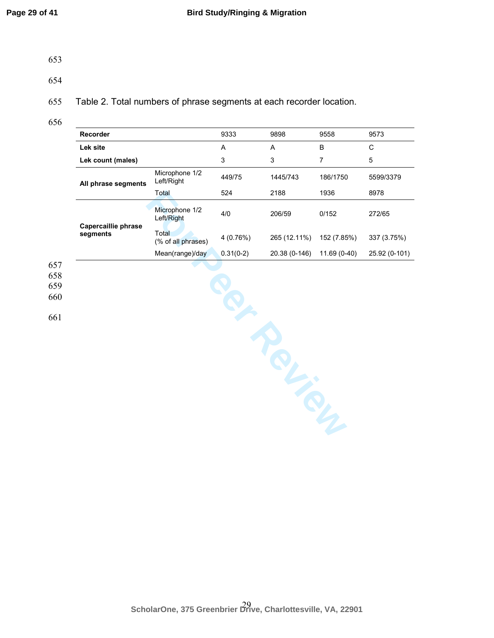- 653
- 

654

655 Table 2. Total numbers of phrase segments at each recorder location.

656

| Recorder            |                              | 9333        | 9898          | 9558           | 9573          |
|---------------------|------------------------------|-------------|---------------|----------------|---------------|
| Lek site            |                              | $\mathsf A$ | Α             | $\sf B$        | $\mathsf C$   |
| Lek count (males)   |                              | 3           | $\mathsf 3$   | $\overline{7}$ | $\sqrt{5}$    |
| All phrase segments | Microphone 1/2<br>Left/Right | 449/75      | 1445/743      | 186/1750       | 5599/3379     |
|                     | Total                        | 524         | 2188          | 1936           | 8978          |
| Capercaillie phrase | Microphone 1/2<br>Left/Right | 4/0         | 206/59        | 0/152          | 272/65        |
| segments            | Total<br>(% of all phrases)  | 4 (0.76%)   | 265 (12.11%)  | 152 (7.85%)    | 337 (3.75%)   |
|                     | Mean(range)/day              | $0.31(0-2)$ | 20.38 (0-146) | $11.69(0-40)$  | 25.92 (0-101) |
|                     |                              |             | 5             |                |               |

657 658

659

660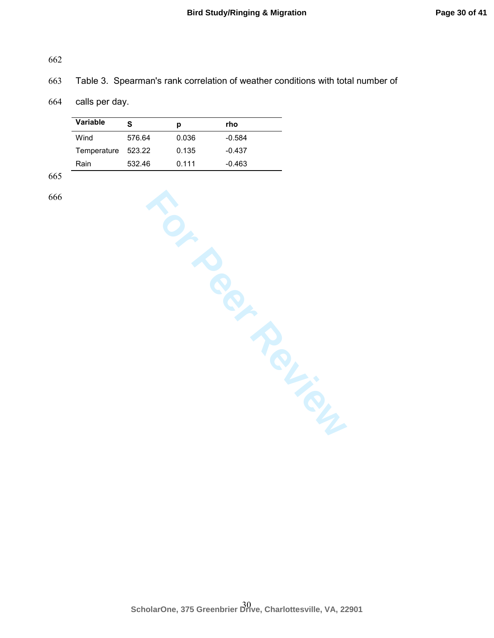# 662

# 663 Table 3. Spearman's rank correlation of weather conditions with total number of

## 664 calls per day.

| <b>Variable</b> | s      | р     | rho      |
|-----------------|--------|-------|----------|
| Wind            | 576.64 | 0.036 | $-0.584$ |
| Temperature     | 523.22 | 0.135 | $-0.437$ |
| Rain            | 532.46 | 0.111 | -0.463   |

665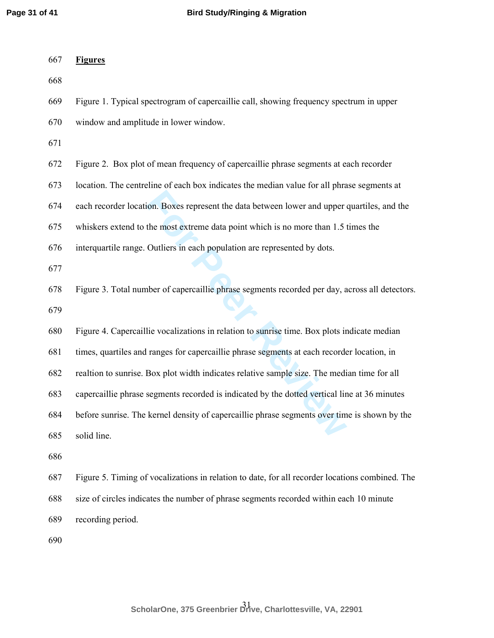| 667 | <b>Figures</b>                                                                                  |
|-----|-------------------------------------------------------------------------------------------------|
| 668 |                                                                                                 |
| 669 | Figure 1. Typical spectrogram of capercaillie call, showing frequency spectrum in upper         |
| 670 | window and amplitude in lower window.                                                           |
| 671 |                                                                                                 |
| 672 | Figure 2. Box plot of mean frequency of capercaillie phrase segments at each recorder           |
| 673 | location. The centreline of each box indicates the median value for all phrase segments at      |
| 674 | each recorder location. Boxes represent the data between lower and upper quartiles, and the     |
| 675 | whiskers extend to the most extreme data point which is no more than 1.5 times the              |
| 676 | interquartile range. Outliers in each population are represented by dots.                       |
| 677 |                                                                                                 |
| 678 | Figure 3. Total number of capercaillie phrase segments recorded per day, across all detectors.  |
| 679 |                                                                                                 |
| 680 | Figure 4. Capercaillie vocalizations in relation to sunrise time. Box plots indicate median     |
| 681 | times, quartiles and ranges for capercaillie phrase segments at each recorder location, in      |
| 682 | realtion to sunrise. Box plot width indicates relative sample size. The median time for all     |
| 683 | capercaillie phrase segments recorded is indicated by the dotted vertical line at 36 minutes    |
| 684 | before sunrise. The kernel density of capercaillie phrase segments over time is shown by the    |
| 685 | solid line.                                                                                     |
| 686 |                                                                                                 |
| 687 | Figure 5. Timing of vocalizations in relation to date, for all recorder locations combined. The |
| 688 | size of circles indicates the number of phrase segments recorded within each 10 minute          |
| 689 | recording period.                                                                               |
| 690 |                                                                                                 |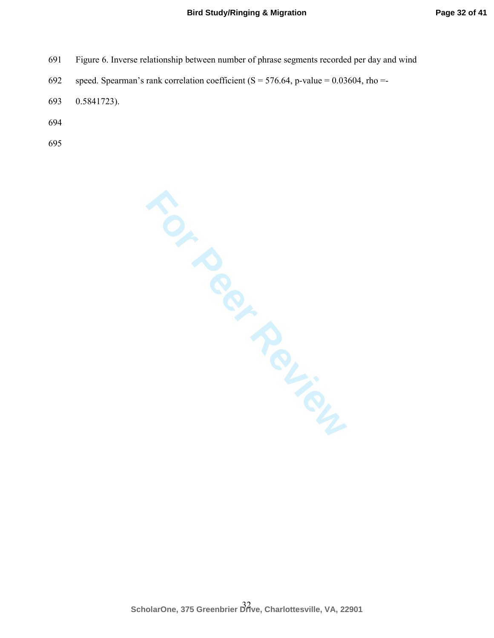- 691 Figure 6. Inverse relationship between number of phrase segments recorded per day and wind
- 692 speed. Spearman's rank correlation coefficient ( $S = 576.64$ , p-value = 0.03604, rho =-
- 693 0.5841723).
- 694
- 695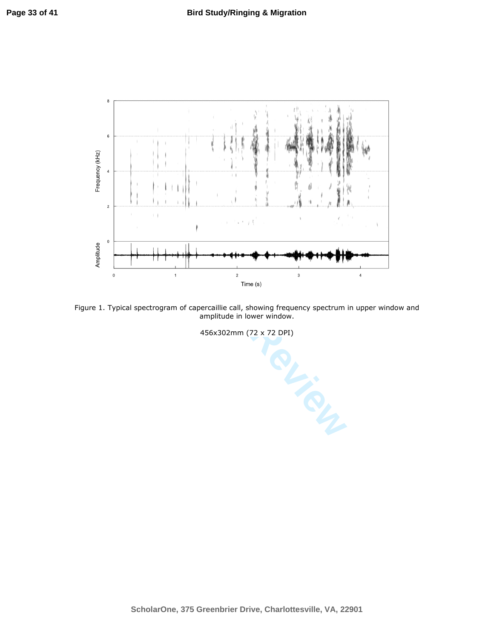

Figure 1. Typical spectrogram of capercaillie call, showing frequency spectrum in upper window and amplitude in lower window.

456x302mm (72 x 72 DPI)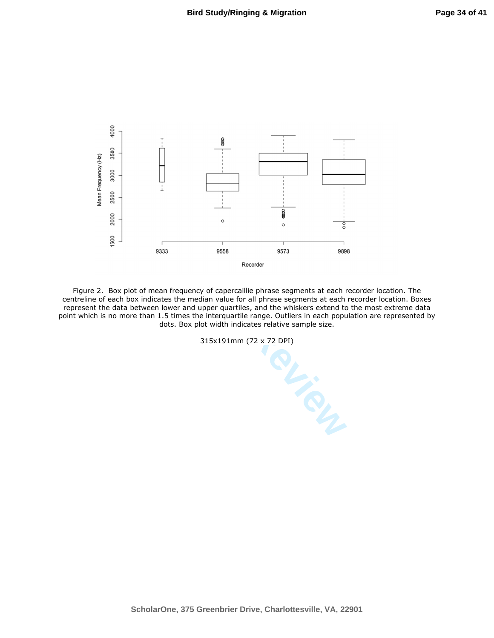

Figure 2. Box plot of mean frequency of capercaillie phrase segments at each recorder location. The centreline of each box indicates the median value for all phrase segments at each recorder location. Boxes represent the data between lower and upper quartiles, and the whiskers extend to the most extreme data point which is no more than 1.5 times the interquartile range. Outliers in each population are represented by dots. Box plot width indicates relative sample size.

315x191mm (72 x 72 DPI)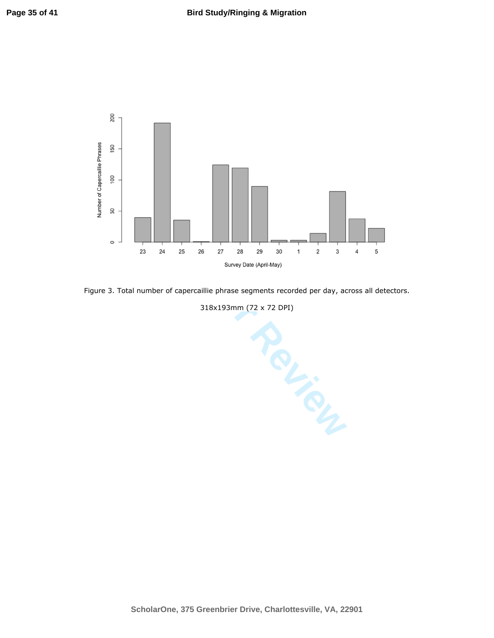

Figure 3. Total number of capercaillie phrase segments recorded per day, across all detectors.

318x193mm (72 x 72 DPI)

23 24 25 26 27 28 29 30 1 2 3 4<br>
Survey Date (April-May)<br>
number of capercaillie phrase segments recorded per day, acro:<br>  $318 \times 193 \text{mm}$  (72 x 72 DPI)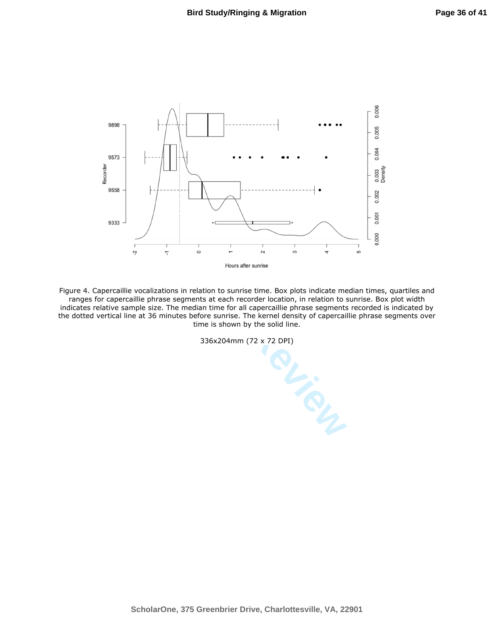

Four of the same of the same of the same of the segments are segments at each recorder location, in relation to the median time for all caperatilie phrase segments<br>innutes before surise. The kernel density of capercal time Figure 4. Capercaillie vocalizations in relation to sunrise time. Box plots indicate median times, quartiles and ranges for capercaillie phrase segments at each recorder location, in relation to sunrise. Box plot width indicates relative sample size. The median time for all capercaillie phrase segments recorded is indicated by the dotted vertical line at 36 minutes before sunrise. The kernel density of capercaillie phrase segments over time is shown by the solid line.

336x204mm (72 x 72 DPI)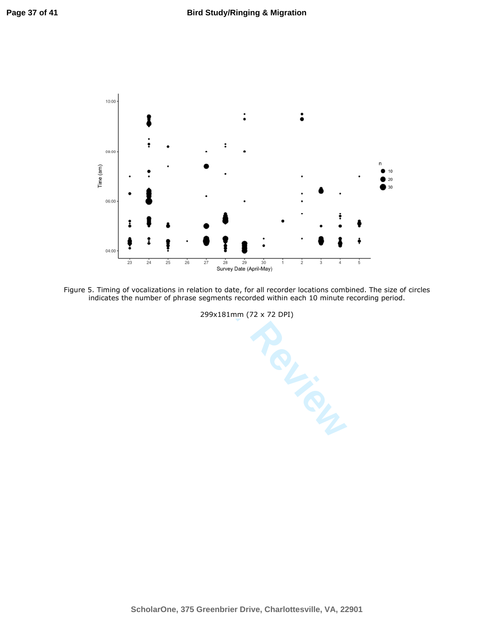

Figure 5. Timing of vocalizations in relation to date, for all recorder locations combined. The size of circles indicates the number of phrase segments recorded within each 10 minute recording period.

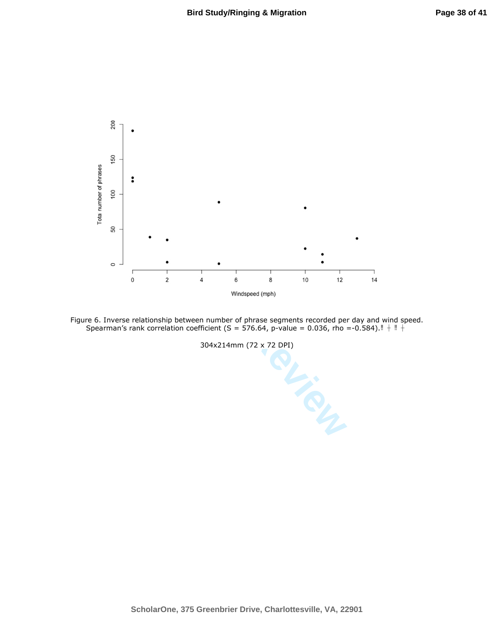



304x214mm (72 x 72 DPI)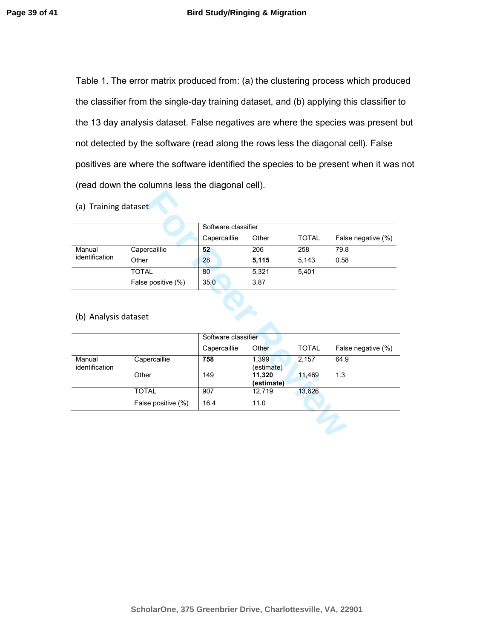Table 1. The error matrix produced from: (a) the clustering process which produced the classifier from the single-day training dataset, and (b) applying this classifier to the 13 day analysis dataset. False negatives are where the species was present but not detected by the software (read along the rows less the diagonal cell). False positives are where the software identified the species to be present when it was not (read down the columns less the diagonal cell).

|                |                    | Software classifier |       |              |                    |
|----------------|--------------------|---------------------|-------|--------------|--------------------|
|                |                    | Capercaillie        | Other | <b>TOTAL</b> | False negative (%) |
| Manual         | Capercaillie       | 52                  | 206   | 258          | 79.8               |
| identification | Other              | 28                  | 5,115 | 5.143        | 0.58               |
|                | TOTAL              | 80                  | 5,321 | 5.401        |                    |
|                | False positive (%) | 35.0                | 3.87  |              |                    |

#### (b) Analysis dataset

| (a) Training dataset     |                    |                     |                      |              |                    |
|--------------------------|--------------------|---------------------|----------------------|--------------|--------------------|
|                          |                    |                     |                      |              |                    |
|                          |                    | Software classifier |                      |              |                    |
|                          |                    | Capercaillie        | Other                | <b>TOTAL</b> | False negative (%) |
| Manual                   | Capercaillie       | 52                  | 206                  | 258          | 79.8               |
| identification           | Other              | 28                  | 5,115                | 5,143        | 0.58               |
|                          | <b>TOTAL</b>       | 80                  | 5,321                | 5,401        |                    |
|                          | False positive (%) | 35.0                | 3.87                 |              |                    |
| (b) Analysis dataset     |                    | Software classifier |                      |              |                    |
|                          |                    | Capercaillie        | Other                | <b>TOTAL</b> | False negative (%) |
| Manual<br>identification | Capercaillie       | 758                 | 1,399<br>(estimate)  | 2,157        | 64.9               |
|                          | Other              | 149                 | 11,320<br>(estimate) | 11,469       | 1.3                |
|                          | <b>TOTAL</b>       | 907                 | 12,719               | 13,626       |                    |
|                          | False positive (%) | 16.4                | 11.0                 |              |                    |
|                          |                    |                     |                      |              |                    |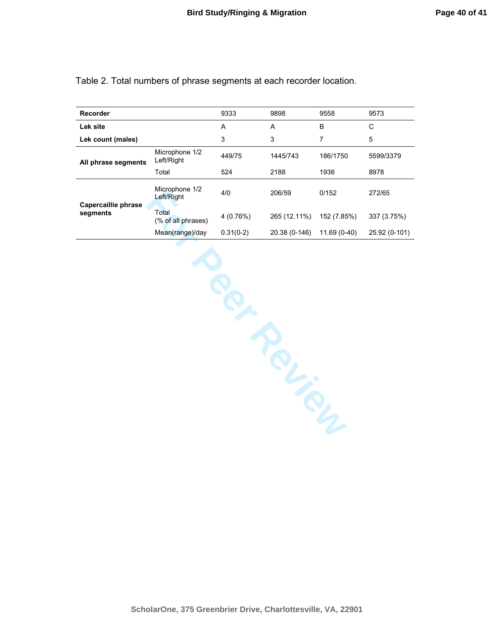Table 2. Total numbers of phrase segments at each recorder location.

| Recorder            |                              | 9333        | 9898          | 9558         | 9573          |
|---------------------|------------------------------|-------------|---------------|--------------|---------------|
| Lek site            |                              | A           | A             | B            | С             |
| Lek count (males)   |                              | 3           | 3             | 7            | 5             |
| All phrase segments | Microphone 1/2<br>Left/Right | 449/75      | 1445/743      | 186/1750     | 5599/3379     |
|                     | Total                        | 524         | 2188          | 1936         | 8978          |
| Capercaillie phrase | Microphone 1/2<br>Left/Right | 4/0         | 206/59        | 0/152        | 272/65        |
| segments            | Total<br>(% of all phrases)  | 4(0.76%)    | 265 (12.11%)  | 152 (7.85%)  | 337 (3.75%)   |
|                     | Mean(range)/day              | $0.31(0-2)$ | 20.38 (0-146) | 11.69 (0-40) | 25.92 (0-101) |

Microphone 1/2 4/0 206/59 0/152 272/65<br> **For Peer Review 1/2**<br>
(% of all phrases) 4 (0.76%) 265 (12.11%) 152 (7.85%) 337 (3.1<br>
Mean(range)/day 0.31(0-2) 20.38 (0-146) 11.69 (0-40) 25.92 (1<br> **Contact All phrases)**